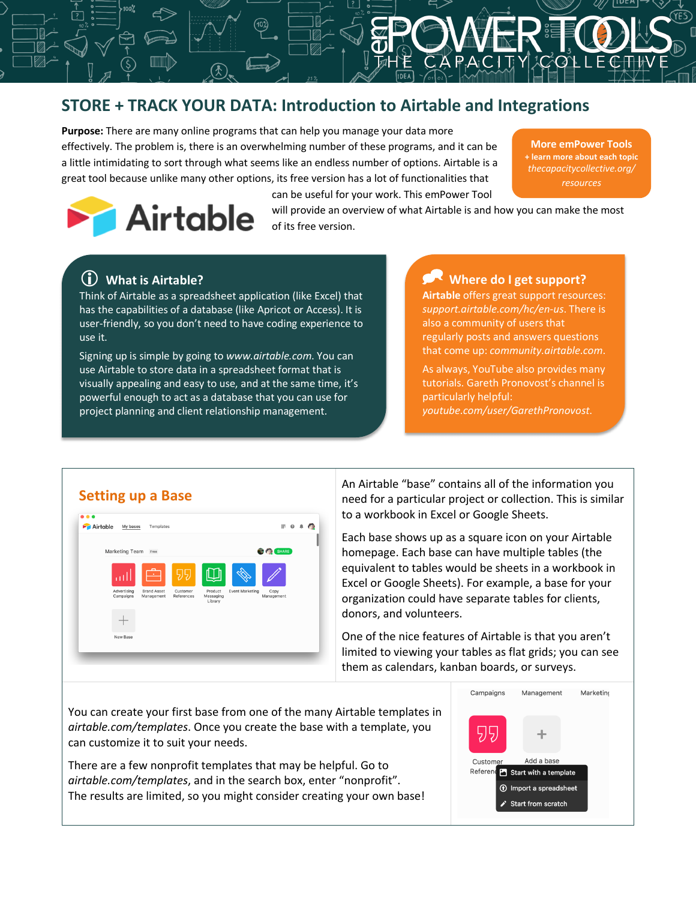# **STORE + TRACK YOUR DATA: Introduction to Airtable and Integrations**

**Purpose:** There are many online programs that can help you manage your data more effectively. The problem is, there is an overwhelming number of these programs, and it can be a little intimidating to sort through what seems like an endless number of options. Airtable is a great tool because unlike many other options, its free version has a lot of functionalities that

**More emPower Tools + learn more about each topic** *thecapacitycollective.org/ resources*



will provide an overview of what Airtable is and how you can make the most of its free version.

can be useful for your work. This emPower Tool

## i **What is Airtable?**

Think of Airtable as a spreadsheet application (like Excel) that has the capabilities of a database (like Apricot or Access). It is user-friendly, so you don't need to have coding experience to use it.

Signing up is simple by going to *www.airtable.com*. You can use Airtable to store data in a spreadsheet format that is visually appealing and easy to use, and at the same time, it's powerful enough to act as a database that you can use for project planning and client relationship management.

### ^ **Where do I get support?**

**Airtable** offers great support resources: *support.airtable.com/hc/en-us*. There is also a community of users that regularly posts and answers questions that come up: *community.airtable.com*.

As always, YouTube also provides many tutorials. Gareth Pronovost's channel is particularly helpful: *youtube.com/user/GarethPronovost*.

### **Setting up a Base**



An Airtable "base" contains all of the information you need for a particular project or collection. This is similar to a workbook in Excel or Google Sheets.

Each base shows up as a square icon on your Airtable homepage. Each base can have multiple tables (the equivalent to tables would be sheets in a workbook in Excel or Google Sheets). For example, a base for your organization could have separate tables for clients, donors, and volunteers.

One of the nice features of Airtable is that you aren't limited to viewing your tables as flat grids; you can see them as calendars, kanban boards, or surveys.

You can create your first base from one of the many Airtable templates in *airtable.com/templates*. Once you create the base with a template, you can customize it to suit your needs.

There are a few nonprofit templates that may be helpful. Go to *airtable.com/templates*, and in the search box, enter "nonprofit". The results are limited, so you might consider creating your own base!